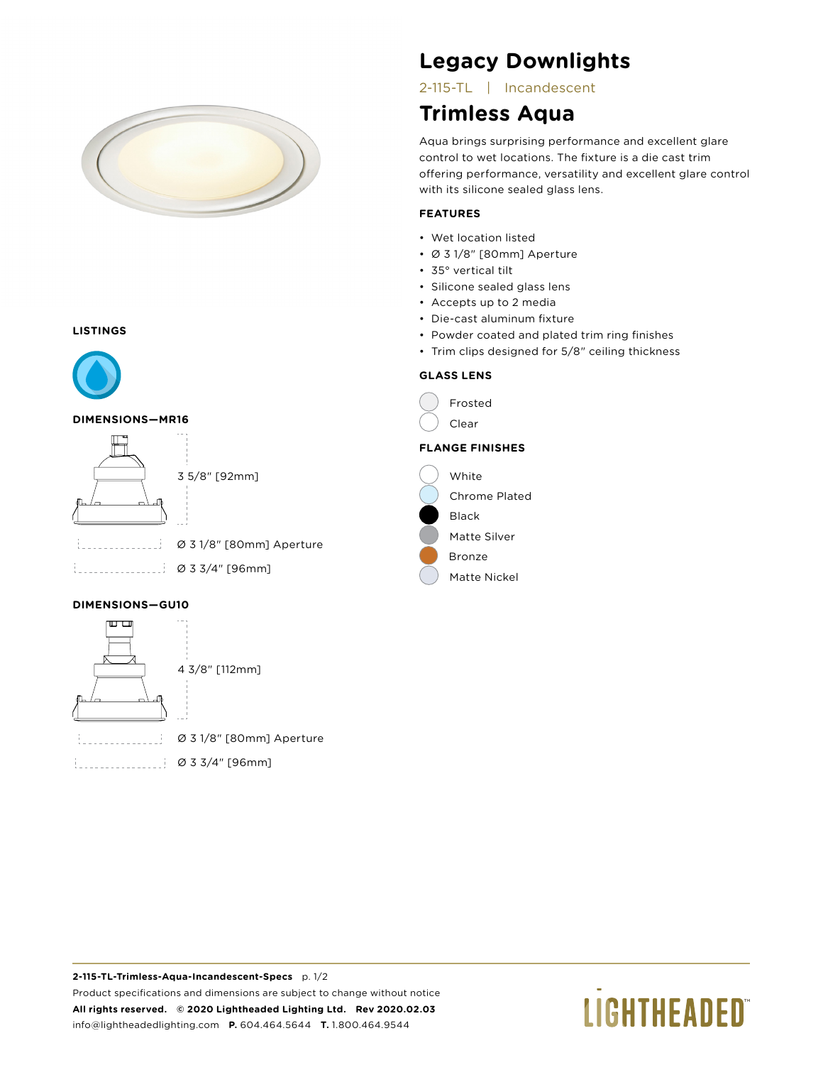

#### **LISTINGS**



#### **DIMENSIONS—MR16**



#### **DIMENSIONS—GU10**



4 3/8" [112mm]

Ø 3 1/8" [80mm] Aperture

Ø 3 3/4" [96mm]

## **Legacy Downlights**

2-115-TL | Incandescent

## **Trimless Aqua**

Aqua brings surprising performance and excellent glare control to wet locations. The fixture is a die cast trim offering performance, versatility and excellent glare control with its silicone sealed glass lens.

#### **FEATURES**

- Wet location listed
- Ø 3 1/8" [80mm] Aperture
- 35° vertical tilt
- Silicone sealed glass lens
- Accepts up to 2 media
- Die-cast aluminum fixture
- Powder coated and plated trim ring finishes
- Trim clips designed for 5/8" ceiling thickness

#### **GLASS LENS**



Matte Nickel

# **LIGHTHEADED**®